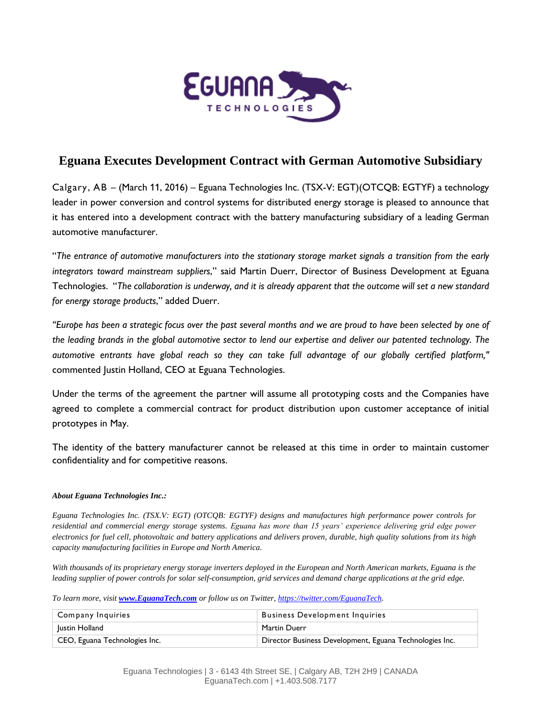

## **Eguana Executes Development Contract with German Automotive Subsidiary**

Calgary, AB – (March 11, 2016) – Eguana Technologies Inc. (TSX-V: EGT)(OTCQB: EGTYF) a technology leader in power conversion and control systems for distributed energy storage is pleased to announce that it has entered into a development contract with the battery manufacturing subsidiary of a leading German automotive manufacturer.

"*The entrance of automotive manufacturers into the stationary storage market signals a transition from the early integrators toward mainstream suppliers*," said Martin Duerr, Director of Business Development at Eguana Technologies. "*The collaboration is underway, and it is already apparent that the outcome will set a new standard for energy storage products*," added Duerr.

*"Europe has been a strategic focus over the past several months and we are proud to have been selected by one of the leading brands in the global automotive sector to lend our expertise and deliver our patented technology. The automotive entrants have global reach so they can take full advantage of our globally certified platform,"*  commented Justin Holland, CEO at Eguana Technologies.

Under the terms of the agreement the partner will assume all prototyping costs and the Companies have agreed to complete a commercial contract for product distribution upon customer acceptance of initial prototypes in May.

The identity of the battery manufacturer cannot be released at this time in order to maintain customer confidentiality and for competitive reasons.

## *About Eguana Technologies Inc.:*

*Eguana Technologies Inc. (TSX.V: EGT) (OTCQB: EGTYF) designs and manufactures high performance power controls for residential and commercial energy storage systems. Eguana has more than 15 years' experience delivering grid edge power electronics for fuel cell, photovoltaic and battery applications and delivers proven, durable, high quality solutions from its high capacity manufacturing facilities in Europe and North America.*

*With thousands of its proprietary energy storage inverters deployed in the European and North American markets, Eguana is the leading supplier of power controls for solar self-consumption, grid services and demand charge applications at the grid edge.*

*To learn more, visit [www.EguanaTech.com](http://www.eguanatech.com/) or follow us on Twitter, [https://twitter.com/EguanaTech.](https://twitter.com/EguanaTech)*

| Company Inquiries             | <b>Business Development Inquiries</b>                   |
|-------------------------------|---------------------------------------------------------|
| Justin Holland                | Martin Duerr                                            |
| CEO, Eguana Technologies Inc. | Director Business Development, Eguana Technologies Inc. |